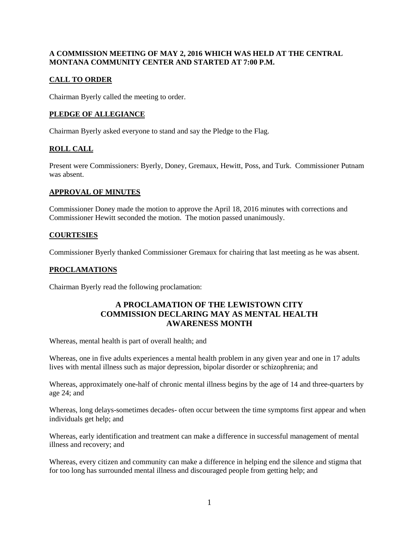#### **A COMMISSION MEETING OF MAY 2, 2016 WHICH WAS HELD AT THE CENTRAL MONTANA COMMUNITY CENTER AND STARTED AT 7:00 P.M.**

## **CALL TO ORDER**

Chairman Byerly called the meeting to order.

## **PLEDGE OF ALLEGIANCE**

Chairman Byerly asked everyone to stand and say the Pledge to the Flag.

## **ROLL CALL**

Present were Commissioners: Byerly, Doney, Gremaux, Hewitt, Poss, and Turk. Commissioner Putnam was absent.

#### **APPROVAL OF MINUTES**

Commissioner Doney made the motion to approve the April 18, 2016 minutes with corrections and Commissioner Hewitt seconded the motion. The motion passed unanimously.

#### **COURTESIES**

Commissioner Byerly thanked Commissioner Gremaux for chairing that last meeting as he was absent.

#### **PROCLAMATIONS**

Chairman Byerly read the following proclamation:

# **A PROCLAMATION OF THE LEWISTOWN CITY COMMISSION DECLARING MAY AS MENTAL HEALTH AWARENESS MONTH**

Whereas, mental health is part of overall health; and

Whereas, one in five adults experiences a mental health problem in any given year and one in 17 adults lives with mental illness such as major depression, bipolar disorder or schizophrenia; and

Whereas, approximately one-half of chronic mental illness begins by the age of 14 and three-quarters by age 24; and

Whereas, long delays-sometimes decades- often occur between the time symptoms first appear and when individuals get help; and

Whereas, early identification and treatment can make a difference in successful management of mental illness and recovery; and

Whereas, every citizen and community can make a difference in helping end the silence and stigma that for too long has surrounded mental illness and discouraged people from getting help; and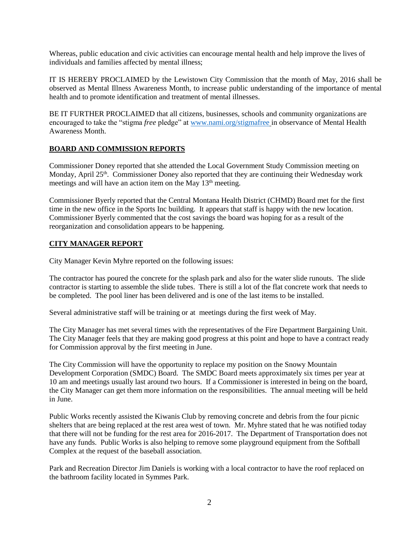Whereas, public education and civic activities can encourage mental health and help improve the lives of individuals and families affected by mental illness;

IT IS HEREBY PROCLAIMED by the Lewistown City Commission that the month of May, 2016 shall be observed as Mental Illness Awareness Month, to increase public understanding of the importance of mental health and to promote identification and treatment of mental illnesses.

BE IT FURTHER PROCLAIMED that all citizens, businesses, schools and community organizations are encouraged to take the "stigma *free* pledge" at [www.nami.org/stigmafree](http://www.nami.org/stigmafree) in observance of Mental Health Awareness Month.

## **BOARD AND COMMISSION REPORTS**

Commissioner Doney reported that she attended the Local Government Study Commission meeting on Monday, April 25<sup>th</sup>. Commissioner Doney also reported that they are continuing their Wednesday work meetings and will have an action item on the May  $13<sup>th</sup>$  meeting.

Commissioner Byerly reported that the Central Montana Health District (CHMD) Board met for the first time in the new office in the Sports Inc building. It appears that staff is happy with the new location. Commissioner Byerly commented that the cost savings the board was hoping for as a result of the reorganization and consolidation appears to be happening.

#### **CITY MANAGER REPORT**

City Manager Kevin Myhre reported on the following issues:

The contractor has poured the concrete for the splash park and also for the water slide runouts. The slide contractor is starting to assemble the slide tubes. There is still a lot of the flat concrete work that needs to be completed. The pool liner has been delivered and is one of the last items to be installed.

Several administrative staff will be training or at meetings during the first week of May.

The City Manager has met several times with the representatives of the Fire Department Bargaining Unit. The City Manager feels that they are making good progress at this point and hope to have a contract ready for Commission approval by the first meeting in June.

The City Commission will have the opportunity to replace my position on the Snowy Mountain Development Corporation (SMDC) Board. The SMDC Board meets approximately six times per year at 10 am and meetings usually last around two hours. If a Commissioner is interested in being on the board, the City Manager can get them more information on the responsibilities. The annual meeting will be held in June.

Public Works recently assisted the Kiwanis Club by removing concrete and debris from the four picnic shelters that are being replaced at the rest area west of town. Mr. Myhre stated that he was notified today that there will not be funding for the rest area for 2016-2017. The Department of Transportation does not have any funds. Public Works is also helping to remove some playground equipment from the Softball Complex at the request of the baseball association.

Park and Recreation Director Jim Daniels is working with a local contractor to have the roof replaced on the bathroom facility located in Symmes Park.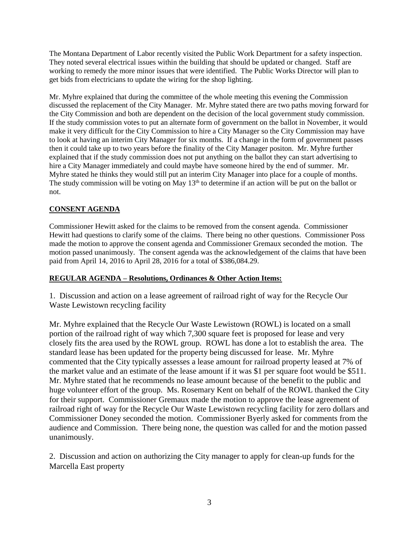The Montana Department of Labor recently visited the Public Work Department for a safety inspection. They noted several electrical issues within the building that should be updated or changed. Staff are working to remedy the more minor issues that were identified. The Public Works Director will plan to get bids from electricians to update the wiring for the shop lighting.

Mr. Myhre explained that during the committee of the whole meeting this evening the Commission discussed the replacement of the City Manager. Mr. Myhre stated there are two paths moving forward for the City Commission and both are dependent on the decision of the local government study commission. If the study commission votes to put an alternate form of government on the ballot in November, it would make it very difficult for the City Commission to hire a City Manager so the City Commission may have to look at having an interim City Manager for six months. If a change in the form of government passes then it could take up to two years before the finality of the City Manager positon. Mr. Myhre further explained that if the study commission does not put anything on the ballot they can start advertising to hire a City Manager immediately and could maybe have someone hired by the end of summer. Mr. Myhre stated he thinks they would still put an interim City Manager into place for a couple of months. The study commission will be voting on May  $13<sup>th</sup>$  to determine if an action will be put on the ballot or not.

# **CONSENT AGENDA**

Commissioner Hewitt asked for the claims to be removed from the consent agenda. Commissioner Hewitt had questions to clarify some of the claims. There being no other questions. Commissioner Poss made the motion to approve the consent agenda and Commissioner Gremaux seconded the motion. The motion passed unanimously. The consent agenda was the acknowledgement of the claims that have been paid from April 14, 2016 to April 28, 2016 for a total of \$386,084.29.

## **REGULAR AGENDA – Resolutions, Ordinances & Other Action Items:**

1. Discussion and action on a lease agreement of railroad right of way for the Recycle Our Waste Lewistown recycling facility

Mr. Myhre explained that the Recycle Our Waste Lewistown (ROWL) is located on a small portion of the railroad right of way which 7,300 square feet is proposed for lease and very closely fits the area used by the ROWL group. ROWL has done a lot to establish the area. The standard lease has been updated for the property being discussed for lease. Mr. Myhre commented that the City typically assesses a lease amount for railroad property leased at 7% of the market value and an estimate of the lease amount if it was \$1 per square foot would be \$511. Mr. Myhre stated that he recommends no lease amount because of the benefit to the public and huge volunteer effort of the group. Ms. Rosemary Kent on behalf of the ROWL thanked the City for their support. Commissioner Gremaux made the motion to approve the lease agreement of railroad right of way for the Recycle Our Waste Lewistown recycling facility for zero dollars and Commissioner Doney seconded the motion. Commissioner Byerly asked for comments from the audience and Commission. There being none, the question was called for and the motion passed unanimously.

2. Discussion and action on authorizing the City manager to apply for clean-up funds for the Marcella East property